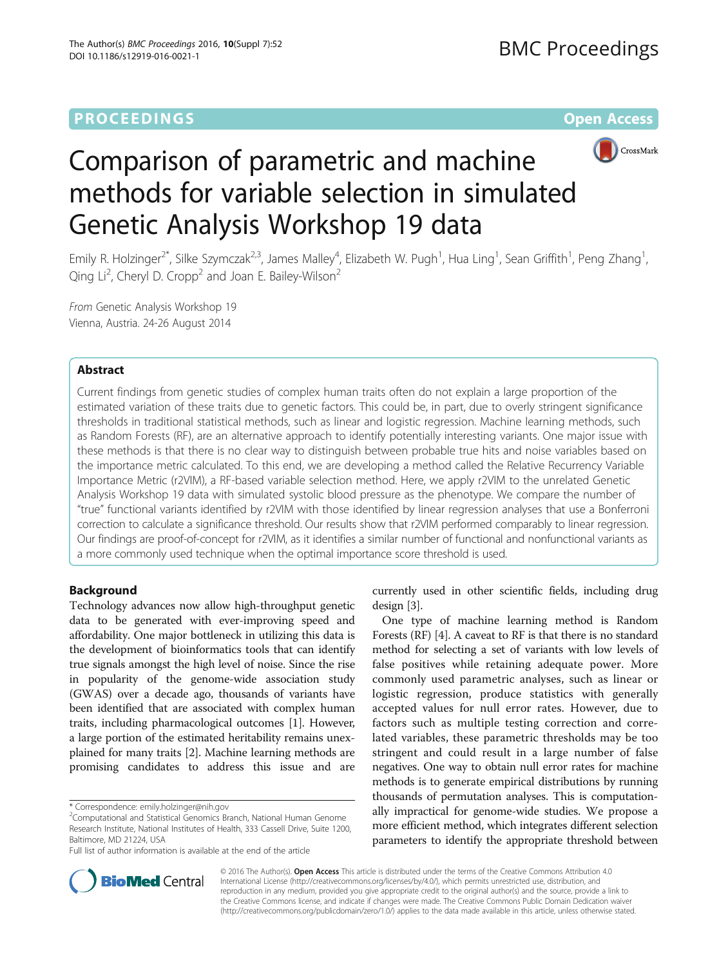# **PROCEEDINGS CONSUMING S** Open Access **CONSUMING S**



# Comparison of parametric and machine methods for variable selection in simulated Genetic Analysis Workshop 19 data

Emily R. Holzinger<sup>2\*</sup>, Silke Szymczak<sup>2,3</sup>, James Malley<sup>4</sup>, Elizabeth W. Pugh<sup>1</sup>, Hua Ling<sup>1</sup>, Sean Griffith<sup>1</sup>, Peng Zhang<sup>1</sup> , Qing Li<sup>2</sup>, Cheryl D. Cropp<sup>2</sup> and Joan E. Bailey-Wilson<sup>2</sup>

From Genetic Analysis Workshop 19 Vienna, Austria. 24-26 August 2014

# Abstract

Current findings from genetic studies of complex human traits often do not explain a large proportion of the estimated variation of these traits due to genetic factors. This could be, in part, due to overly stringent significance thresholds in traditional statistical methods, such as linear and logistic regression. Machine learning methods, such as Random Forests (RF), are an alternative approach to identify potentially interesting variants. One major issue with these methods is that there is no clear way to distinguish between probable true hits and noise variables based on the importance metric calculated. To this end, we are developing a method called the Relative Recurrency Variable Importance Metric (r2VIM), a RF-based variable selection method. Here, we apply r2VIM to the unrelated Genetic Analysis Workshop 19 data with simulated systolic blood pressure as the phenotype. We compare the number of "true" functional variants identified by r2VIM with those identified by linear regression analyses that use a Bonferroni correction to calculate a significance threshold. Our results show that r2VIM performed comparably to linear regression. Our findings are proof-of-concept for r2VIM, as it identifies a similar number of functional and nonfunctional variants as a more commonly used technique when the optimal importance score threshold is used.

# Background

Technology advances now allow high-throughput genetic data to be generated with ever-improving speed and affordability. One major bottleneck in utilizing this data is the development of bioinformatics tools that can identify true signals amongst the high level of noise. Since the rise in popularity of the genome-wide association study (GWAS) over a decade ago, thousands of variants have been identified that are associated with complex human traits, including pharmacological outcomes [\[1](#page-5-0)]. However, a large portion of the estimated heritability remains unexplained for many traits [\[2](#page-5-0)]. Machine learning methods are promising candidates to address this issue and are

currently used in other scientific fields, including drug design [\[3\]](#page-5-0).

One type of machine learning method is Random Forests (RF) [[4\]](#page-5-0). A caveat to RF is that there is no standard method for selecting a set of variants with low levels of false positives while retaining adequate power. More commonly used parametric analyses, such as linear or logistic regression, produce statistics with generally accepted values for null error rates. However, due to factors such as multiple testing correction and correlated variables, these parametric thresholds may be too stringent and could result in a large number of false negatives. One way to obtain null error rates for machine methods is to generate empirical distributions by running thousands of permutation analyses. This is computationally impractical for genome-wide studies. We propose a more efficient method, which integrates different selection parameters to identify the appropriate threshold between



© 2016 The Author(s). Open Access This article is distributed under the terms of the Creative Commons Attribution 4.0 International License [\(http://creativecommons.org/licenses/by/4.0/](http://creativecommons.org/licenses/by/4.0/)), which permits unrestricted use, distribution, and reproduction in any medium, provided you give appropriate credit to the original author(s) and the source, provide a link to the Creative Commons license, and indicate if changes were made. The Creative Commons Public Domain Dedication waiver [\(http://creativecommons.org/publicdomain/zero/1.0/](http://creativecommons.org/publicdomain/zero/1.0/)) applies to the data made available in this article, unless otherwise stated.

<sup>\*</sup> Correspondence: [emily.holzinger@nih.gov](mailto:emily.holzinger@nih.gov) <sup>2</sup>

<sup>&</sup>lt;sup>2</sup> Computational and Statistical Genomics Branch, National Human Genome Research Institute, National Institutes of Health, 333 Cassell Drive, Suite 1200, Baltimore, MD 21224, USA

Full list of author information is available at the end of the article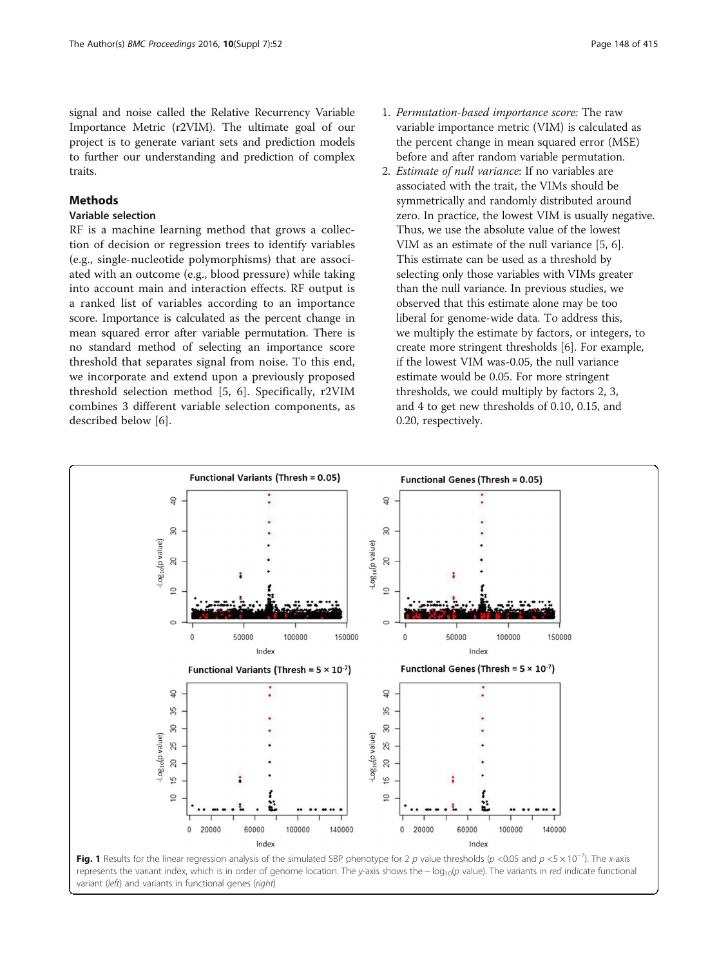<span id="page-1-0"></span>signal and noise called the Relative Recurrency Variable Importance Metric (r2VIM). The ultimate goal of our project is to generate variant sets and prediction models to further our understanding and prediction of complex traits.

# **Methods**

# Variable selection

RF is a machine learning method that grows a collection of decision or regression trees to identify variables (e.g., single-nucleotide polymorphisms) that are associated with an outcome (e.g., blood pressure) while taking into account main and interaction effects. RF output is a ranked list of variables according to an importance score. Importance is calculated as the percent change in mean squared error after variable permutation. There is no standard method of selecting an importance score threshold that separates signal from noise. To this end, we incorporate and extend upon a previously proposed threshold selection method [[5, 6\]](#page-5-0). Specifically, r2VIM combines 3 different variable selection components, as described below [[6\]](#page-5-0).

- 1. Permutation-based importance score: The raw variable importance metric (VIM) is calculated as the percent change in mean squared error (MSE) before and after random variable permutation.
- 2. Estimate of null variance: If no variables are associated with the trait, the VIMs should be symmetrically and randomly distributed around zero. In practice, the lowest VIM is usually negative. Thus, we use the absolute value of the lowest VIM as an estimate of the null variance [[5](#page-5-0), [6](#page-5-0)]. This estimate can be used as a threshold by selecting only those variables with VIMs greater than the null variance. In previous studies, we observed that this estimate alone may be too liberal for genome-wide data. To address this, we multiply the estimate by factors, or integers, to create more stringent thresholds [[6\]](#page-5-0). For example, if the lowest VIM was-0.05, the null variance estimate would be 0.05. For more stringent thresholds, we could multiply by factors 2, 3, and 4 to get new thresholds of 0.10, 0.15, and 0.20, respectively.



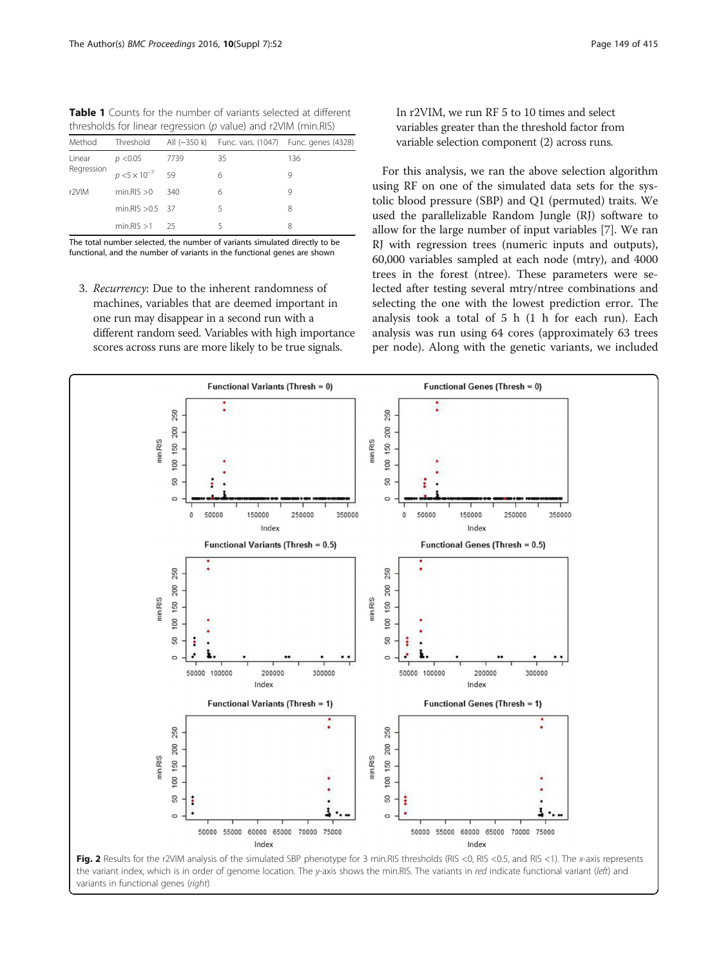<span id="page-2-0"></span>

| <b>Table 1</b> Counts for the number of variants selected at different |  |
|------------------------------------------------------------------------|--|
| thresholds for linear regression (p value) and r2VIM (min.RIS)         |  |

| Method               | Threshold                 |      |    | All (~350 k) Func. vars. (1047) Func. genes (4328) |
|----------------------|---------------------------|------|----|----------------------------------------------------|
| Linear<br>Regression | p < 0.05                  | 7739 | 35 | 136                                                |
|                      | $p < 5 \times 10^{-7}$ 59 |      | 6  | 9                                                  |
| r <sub>2VIM</sub>    | min.RIS > 0               | 340  | 6  | 9                                                  |
|                      | min.RIS $>0.5$ 37         |      | 5  | 8                                                  |
|                      | $min.RIS > 1$ 25          |      |    | 8                                                  |
|                      |                           |      |    |                                                    |

The total number selected, the number of variants simulated directly to be functional, and the number of variants in the functional genes are shown

3. Recurrency: Due to the inherent randomness of machines, variables that are deemed important in one run may disappear in a second run with a different random seed. Variables with high importance scores across runs are more likely to be true signals.

In r2VIM, we run RF 5 to 10 times and select variables greater than the threshold factor from variable selection component (2) across runs.

For this analysis, we ran the above selection algorithm using RF on one of the simulated data sets for the systolic blood pressure (SBP) and Q1 (permuted) traits. We used the parallelizable Random Jungle (RJ) software to allow for the large number of input variables [[7](#page-5-0)]. We ran RJ with regression trees (numeric inputs and outputs), 60,000 variables sampled at each node (mtry), and 4000 trees in the forest (ntree). These parameters were selected after testing several mtry/ntree combinations and selecting the one with the lowest prediction error. The analysis took a total of 5 h (1 h for each run). Each analysis was run using 64 cores (approximately 63 trees per node). Along with the genetic variants, we included



Fig. 2 Results for the r2VIM analysis of the simulated SBP phenotype for 3 min.RIS thresholds (RIS <0, RIS <0.5, and RIS <1). The x-axis represents the variant index, which is in order of genome location. The y-axis shows the min.RIS. The variants in red indicate functional variant (left) and variants in functional genes (right)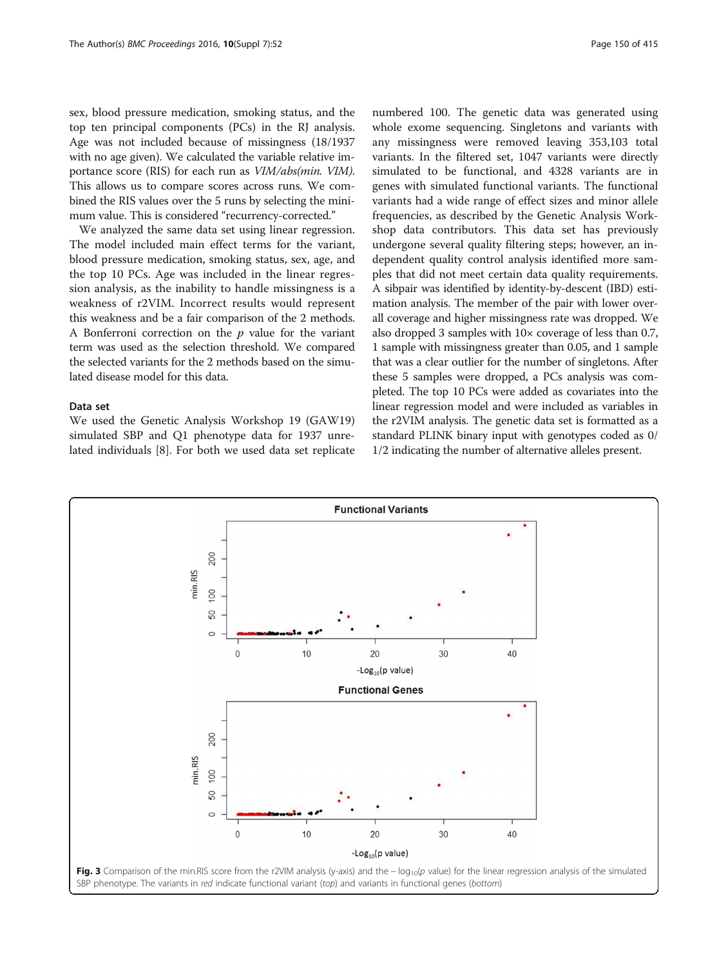<span id="page-3-0"></span>sex, blood pressure medication, smoking status, and the top ten principal components (PCs) in the RJ analysis. Age was not included because of missingness (18/1937 with no age given). We calculated the variable relative importance score (RIS) for each run as VIM/abs(min. VIM). This allows us to compare scores across runs. We combined the RIS values over the 5 runs by selecting the minimum value. This is considered "recurrency-corrected."

We analyzed the same data set using linear regression. The model included main effect terms for the variant, blood pressure medication, smoking status, sex, age, and the top 10 PCs. Age was included in the linear regression analysis, as the inability to handle missingness is a weakness of r2VIM. Incorrect results would represent this weakness and be a fair comparison of the 2 methods. A Bonferroni correction on the  $p$  value for the variant term was used as the selection threshold. We compared the selected variants for the 2 methods based on the simulated disease model for this data.

#### Data set

We used the Genetic Analysis Workshop 19 (GAW19) simulated SBP and Q1 phenotype data for 1937 unrelated individuals [[8](#page-5-0)]. For both we used data set replicate numbered 100. The genetic data was generated using whole exome sequencing. Singletons and variants with any missingness were removed leaving 353,103 total variants. In the filtered set, 1047 variants were directly simulated to be functional, and 4328 variants are in genes with simulated functional variants. The functional variants had a wide range of effect sizes and minor allele frequencies, as described by the Genetic Analysis Workshop data contributors. This data set has previously undergone several quality filtering steps; however, an independent quality control analysis identified more samples that did not meet certain data quality requirements. A sibpair was identified by identity-by-descent (IBD) estimation analysis. The member of the pair with lower overall coverage and higher missingness rate was dropped. We also dropped 3 samples with 10× coverage of less than 0.7, 1 sample with missingness greater than 0.05, and 1 sample that was a clear outlier for the number of singletons. After these 5 samples were dropped, a PCs analysis was completed. The top 10 PCs were added as covariates into the linear regression model and were included as variables in the r2VIM analysis. The genetic data set is formatted as a standard PLINK binary input with genotypes coded as 0/ 1/2 indicating the number of alternative alleles present.

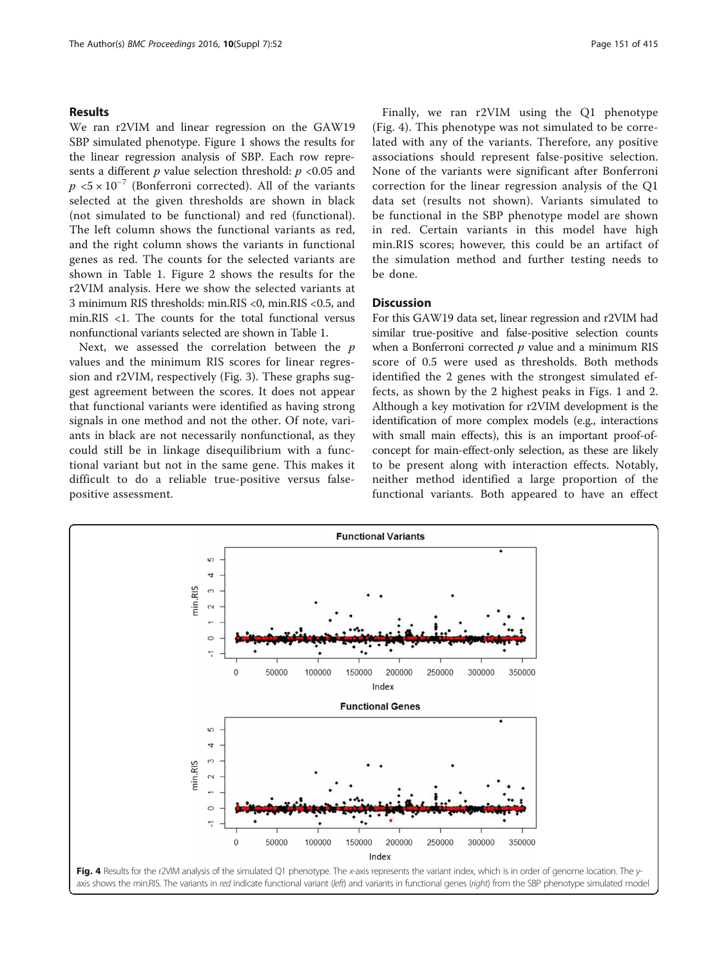### Results

We ran r2VIM and linear regression on the GAW19 SBP simulated phenotype. Figure [1](#page-1-0) shows the results for the linear regression analysis of SBP. Each row represents a different  $p$  value selection threshold:  $p < 0.05$  and  $p < 5 \times 10^{-7}$  (Bonferroni corrected). All of the variants selected at the given thresholds are shown in black (not simulated to be functional) and red (functional). The left column shows the functional variants as red, and the right column shows the variants in functional genes as red. The counts for the selected variants are shown in Table [1](#page-2-0). Figure [2](#page-2-0) shows the results for the r2VIM analysis. Here we show the selected variants at 3 minimum RIS thresholds: min.RIS <0, min.RIS <0.5, and min.RIS <1. The counts for the total functional versus nonfunctional variants selected are shown in Table [1.](#page-2-0)

Next, we assessed the correlation between the  $p$ values and the minimum RIS scores for linear regression and r2VIM, respectively (Fig. [3](#page-3-0)). These graphs suggest agreement between the scores. It does not appear that functional variants were identified as having strong signals in one method and not the other. Of note, variants in black are not necessarily nonfunctional, as they could still be in linkage disequilibrium with a functional variant but not in the same gene. This makes it difficult to do a reliable true-positive versus falsepositive assessment.

Finally, we ran r2VIM using the Q1 phenotype (Fig. 4). This phenotype was not simulated to be correlated with any of the variants. Therefore, any positive associations should represent false-positive selection. None of the variants were significant after Bonferroni correction for the linear regression analysis of the Q1 data set (results not shown). Variants simulated to be functional in the SBP phenotype model are shown in red. Certain variants in this model have high min.RIS scores; however, this could be an artifact of the simulation method and further testing needs to be done.

## Discussion

For this GAW19 data set, linear regression and r2VIM had similar true-positive and false-positive selection counts when a Bonferroni corrected  $p$  value and a minimum RIS score of 0.5 were used as thresholds. Both methods identified the 2 genes with the strongest simulated effects, as shown by the 2 highest peaks in Figs. [1](#page-1-0) and [2](#page-2-0). Although a key motivation for r2VIM development is the identification of more complex models (e.g., interactions with small main effects), this is an important proof-ofconcept for main-effect-only selection, as these are likely to be present along with interaction effects. Notably, neither method identified a large proportion of the functional variants. Both appeared to have an effect